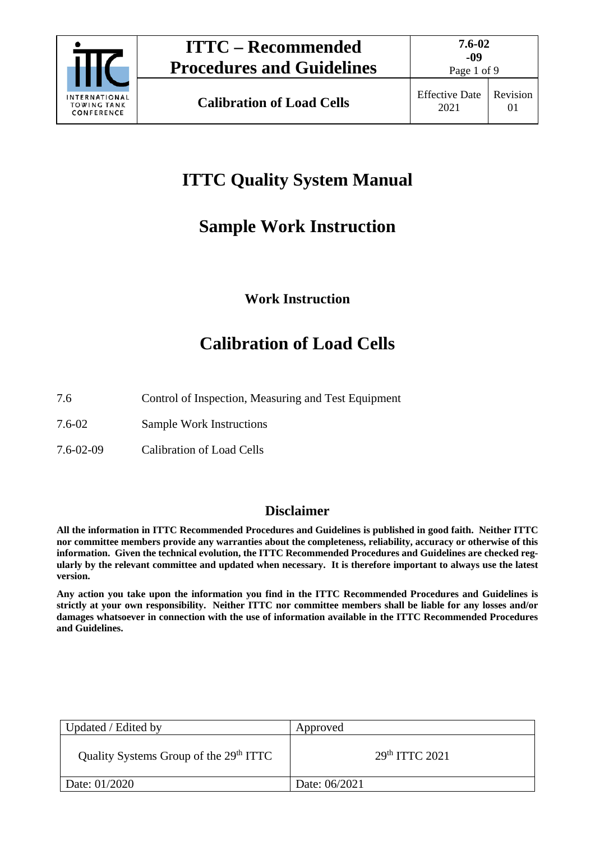

# **ITTC Quality System Manual**

# **Sample Work Instruction**

# **Work Instruction**

# **Calibration of Load Cells**

- 7.6 Control of Inspection, Measuring and Test Equipment
- 7.6-02 Sample Work Instructions
- 7.6-02-09 Calibration of Load Cells

## **Disclaimer**

**All the information in ITTC Recommended Procedures and Guidelines is published in good faith. Neither ITTC nor committee members provide any warranties about the completeness, reliability, accuracy or otherwise of this information. Given the technical evolution, the ITTC Recommended Procedures and Guidelines are checked regularly by the relevant committee and updated when necessary. It is therefore important to always use the latest version.**

**Any action you take upon the information you find in the ITTC Recommended Procedures and Guidelines is strictly at your own responsibility. Neither ITTC nor committee members shall be liable for any losses and/or damages whatsoever in connection with the use of information available in the ITTC Recommended Procedures and Guidelines.**

| Updated / Edited by                                | Approved         |
|----------------------------------------------------|------------------|
| Quality Systems Group of the 29 <sup>th</sup> ITTC | $29th$ ITTC 2021 |
| Date: 01/2020                                      | Date: 06/2021    |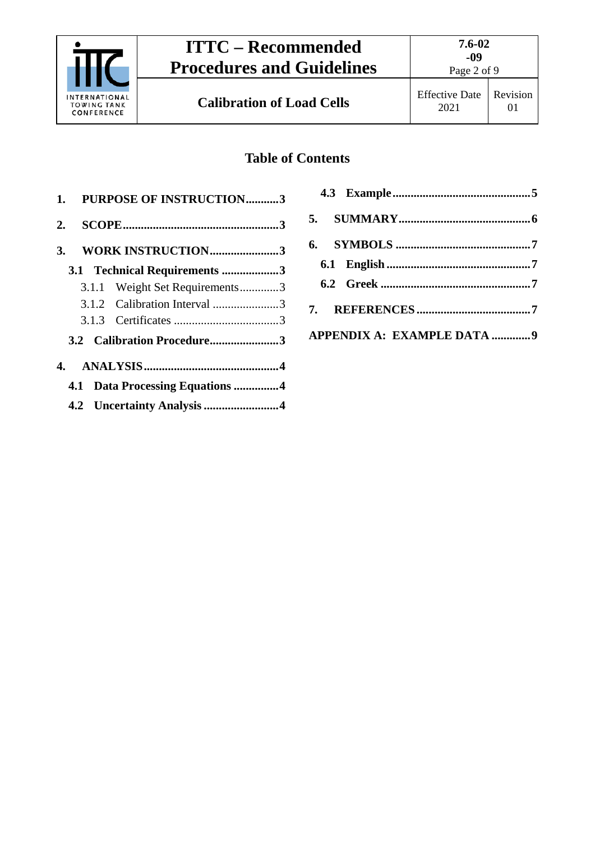

## **Table of Contents**

|    | 1. PURPOSE OF INSTRUCTION3      |  |
|----|---------------------------------|--|
| 2. |                                 |  |
|    | 3. WORK INSTRUCTION3            |  |
|    | 3.1 Technical Requirements 3    |  |
|    | 3.1.1 Weight Set Requirements3  |  |
|    |                                 |  |
|    |                                 |  |
|    | 3.2 Calibration Procedure3      |  |
|    |                                 |  |
|    | 4.1 Data Processing Equations 4 |  |
|    |                                 |  |

| APPENDIX A: EXAMPLE DATA 9 |  |
|----------------------------|--|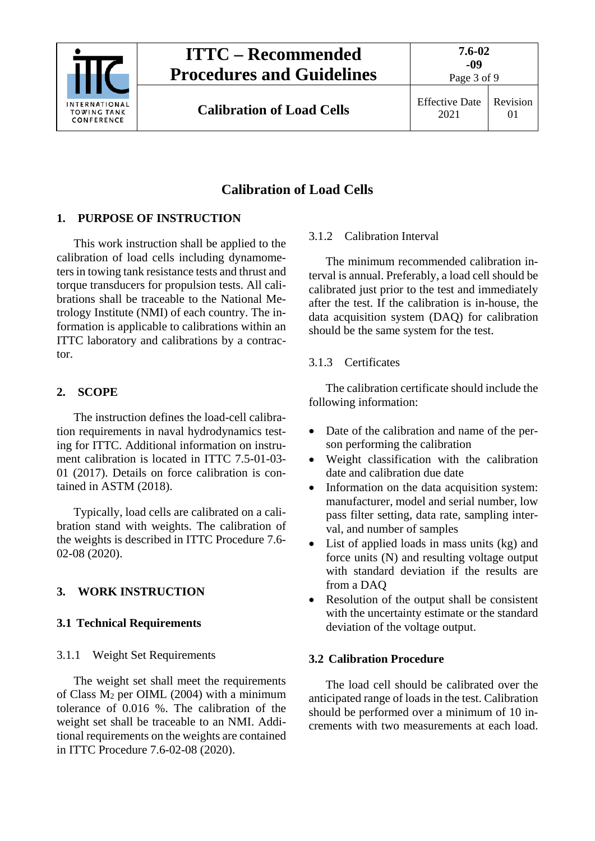

# **ITTC – Recommended Procedures and Guidelines**

Page 3 of 9

**Calibration of Load Cells** Effective Date

2021

Revision 01

## **Calibration of Load Cells**

### <span id="page-2-0"></span>**1. PURPOSE OF INSTRUCTION**

This work instruction shall be applied to the calibration of load cells including dynamometers in towing tank resistance tests and thrust and torque transducers for propulsion tests. All calibrations shall be traceable to the National Metrology Institute (NMI) of each country. The information is applicable to calibrations within an ITTC laboratory and calibrations by a contractor.

### <span id="page-2-1"></span>**2. SCOPE**

The instruction defines the load-cell calibration requirements in naval hydrodynamics testing for ITTC. Additional information on instrument calibration is located in ITTC 7.5-01-03- 01 (2017). Details on force calibration is contained in ASTM (2018).

Typically, load cells are calibrated on a calibration stand with weights. The calibration of the weights is described in ITTC Procedure 7.6- 02-08 (2020).

## <span id="page-2-3"></span><span id="page-2-2"></span>**3. WORK INSTRUCTION**

### <span id="page-2-4"></span>**3.1 Technical Requirements**

#### 3.1.1 Weight Set Requirements

The weight set shall meet the requirements of Class  $M_2$  per OIML (2004) with a minimum tolerance of 0.016 %. The calibration of the weight set shall be traceable to an NMI. Additional requirements on the weights are contained in ITTC Procedure 7.6-02-08 (2020).

### <span id="page-2-5"></span>3.1.2 Calibration Interval

The minimum recommended calibration interval is annual. Preferably, a load cell should be calibrated just prior to the test and immediately after the test. If the calibration is in-house, the data acquisition system (DAQ) for calibration should be the same system for the test.

#### <span id="page-2-6"></span>3.1.3 Certificates

The calibration certificate should include the following information:

- Date of the calibration and name of the person performing the calibration
- Weight classification with the calibration date and calibration due date
- Information on the data acquisition system: manufacturer, model and serial number, low pass filter setting, data rate, sampling interval, and number of samples
- List of applied loads in mass units (kg) and force units (N) and resulting voltage output with standard deviation if the results are from a DAQ
- Resolution of the output shall be consistent with the uncertainty estimate or the standard deviation of the voltage output.

#### <span id="page-2-7"></span>**3.2 Calibration Procedure**

The load cell should be calibrated over the anticipated range of loads in the test. Calibration should be performed over a minimum of 10 increments with two measurements at each load.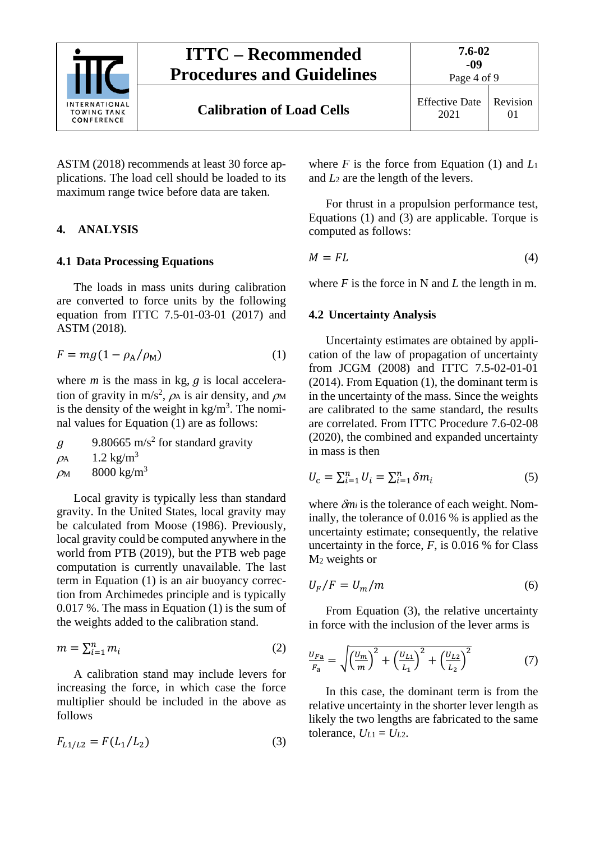

ASTM (2018) recommends at least 30 force applications. The load cell should be loaded to its maximum range twice before data are taken.

#### <span id="page-3-1"></span><span id="page-3-0"></span>**4. ANALYSIS**

#### **4.1 Data Processing Equations**

The loads in mass units during calibration are converted to force units by the following equation from ITTC 7.5-01-03-01 (2017) and ASTM (2018).

<span id="page-3-3"></span>
$$
F = mg(1 - \rho_A/\rho_M) \tag{1}
$$

where  $m$  is the mass in kg,  $g$  is local acceleration of gravity in m/s<sup>2</sup>,  $\rho_A$  is air density, and  $\rho_M$ is the density of the weight in  $kg/m<sup>3</sup>$ . The nominal values for Equation [\(1\)](#page-3-3) are as follows:

9.80665 m/s<sup>2</sup> for standard gravity  $\mathfrak{g}$  $\rho_A$  1.2 kg/m<sup>3</sup>

 $\rho$ <sub>M</sub> 8000 kg/m<sup>3</sup>

Local gravity is typically less than standard gravity. In the United States, local gravity may be calculated from Moose (1986). Previously, local gravity could be computed anywhere in the world from PTB (2019), but the PTB web page computation is currently unavailable. The last term in Equation [\(1\)](#page-3-3) is an air buoyancy correction from Archimedes principle and is typically 0.017 %. The mass in Equation [\(1\)](#page-3-3) is the sum of the weights added to the calibration stand.

$$
m = \sum_{i=1}^{n} m_i \tag{2}
$$

A calibration stand may include levers for increasing the force, in which case the force multiplier should be included in the above as follows

<span id="page-3-4"></span>
$$
F_{L1/L2} = F(L_1/L_2)
$$
 (3)

where *F* is the force from Equation [\(1\)](#page-3-3) and *L*<sup>1</sup> and *L*<sup>2</sup> are the length of the levers.

For thrust in a propulsion performance test, Equations [\(1\)](#page-3-3) and [\(3\)](#page-3-4) are applicable. Torque is computed as follows:

<span id="page-3-5"></span>
$$
M = FL \tag{4}
$$

<span id="page-3-2"></span>where  $F$  is the force in N and  $L$  the length in m.

#### **4.2 Uncertainty Analysis**

Uncertainty estimates are obtained by application of the law of propagation of uncertainty from JCGM (2008) and ITTC 7.5-02-01-01 (2014). From Equation [\(1\),](#page-3-3) the dominant term is in the uncertainty of the mass. Since the weights are calibrated to the same standard, the results are correlated. From ITTC Procedure 7.6-02-08 (2020), the combined and expanded uncertainty in mass is then

$$
U_{\rm c} = \sum_{i=1}^{n} U_i = \sum_{i=1}^{n} \delta m_i \tag{5}
$$

where δ*mi* is the tolerance of each weight. Nominally, the tolerance of 0.016 % is applied as the uncertainty estimate; consequently, the relative uncertainty in the force,  $F$ , is 0.016 % for Class M2 weights or

$$
U_F/F = U_m/m \tag{6}
$$

From Equation [\(3\),](#page-3-4) the relative uncertainty in force with the inclusion of the lever arms is

<span id="page-3-6"></span>
$$
\frac{U_{Fa}}{F_a} = \sqrt{\left(\frac{U_m}{m}\right)^2 + \left(\frac{U_{L1}}{L_1}\right)^2 + \left(\frac{U_{L2}}{L_2}\right)^2}
$$
(7)

In this case, the dominant term is from the relative uncertainty in the shorter lever length as likely the two lengths are fabricated to the same tolerance,  $U_{L1} = U_{L2}$ .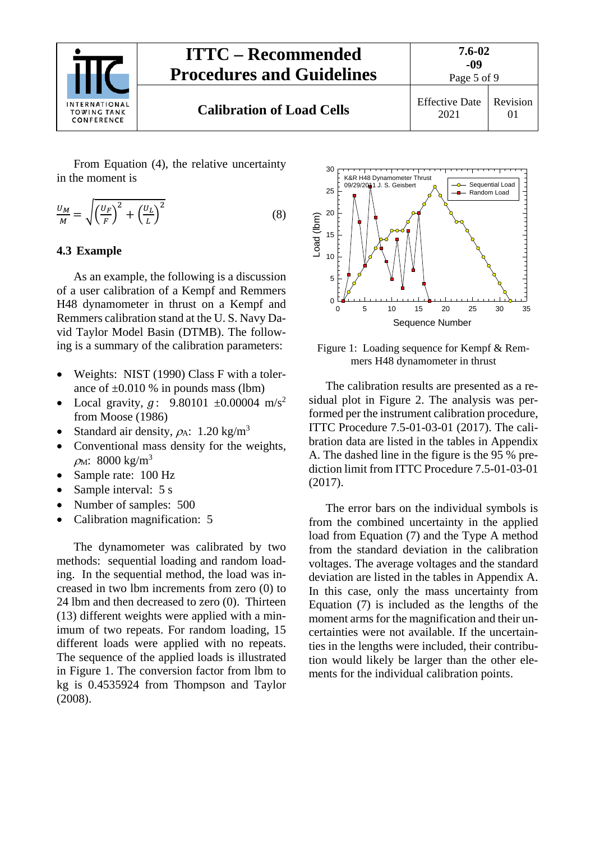

From Equation [\(4\),](#page-3-5) the relative uncertainty in the moment is

$$
\frac{U_M}{M} = \sqrt{\left(\frac{U_F}{F}\right)^2 + \left(\frac{U_L}{L}\right)^2} \tag{8}
$$

#### <span id="page-4-0"></span>**4.3 Example**

As an example, the following is a discussion of a user calibration of a Kempf and Remmers H48 dynamometer in thrust on a Kempf and Remmers calibration stand at the U. S. Navy David Taylor Model Basin (DTMB). The following is a summary of the calibration parameters:

- Weights: NIST (1990) Class F with a tolerance of  $\pm 0.010$  % in pounds mass (lbm)
- Local gravity,  $g$ : 9.80101  $\pm 0.00004$  m/s<sup>2</sup> from Moose (1986)
- Standard air density,  $\rho_A$ : 1.20 kg/m<sup>3</sup>
- Conventional mass density for the weights,  $ρ<sub>M</sub>: 8000 kg/m<sup>3</sup>$
- Sample rate: 100 Hz
- Sample interval: 5 s
- Number of samples: 500
- Calibration magnification: 5

The dynamometer was calibrated by two methods: sequential loading and random loading. In the sequential method, the load was increased in two lbm increments from zero (0) to 24 lbm and then decreased to zero (0). Thirteen (13) different weights were applied with a minimum of two repeats. For random loading, 15 different loads were applied with no repeats. The sequence of the applied loads is illustrated in [Figure 1.](#page-4-1) The conversion factor from lbm to kg is 0.4535924 from Thompson and Taylor (2008).



<span id="page-4-1"></span>Figure 1: Loading sequence for Kempf & Remmers H48 dynamometer in thrust

The calibration results are presented as a residual plot in Figure 2. The analysis was performed per the instrument calibration procedure, ITTC Procedure 7.5-01-03-01 (2017). The calibration data are listed in the tables in Appendix A. The dashed line in the figure is the 95 % prediction limit from ITTC Procedure 7.5-01-03-01 (2017).

The error bars on the individual symbols is from the combined uncertainty in the applied load from Equation [\(7\)](#page-3-6) and the Type A method from the standard deviation in the calibration voltages. The average voltages and the standard deviation are listed in the tables in Appendix A. In this case, only the mass uncertainty from Equation [\(7\)](#page-3-6) is included as the lengths of the moment arms for the magnification and their uncertainties were not available. If the uncertainties in the lengths were included, their contribution would likely be larger than the other elements for the individual calibration points.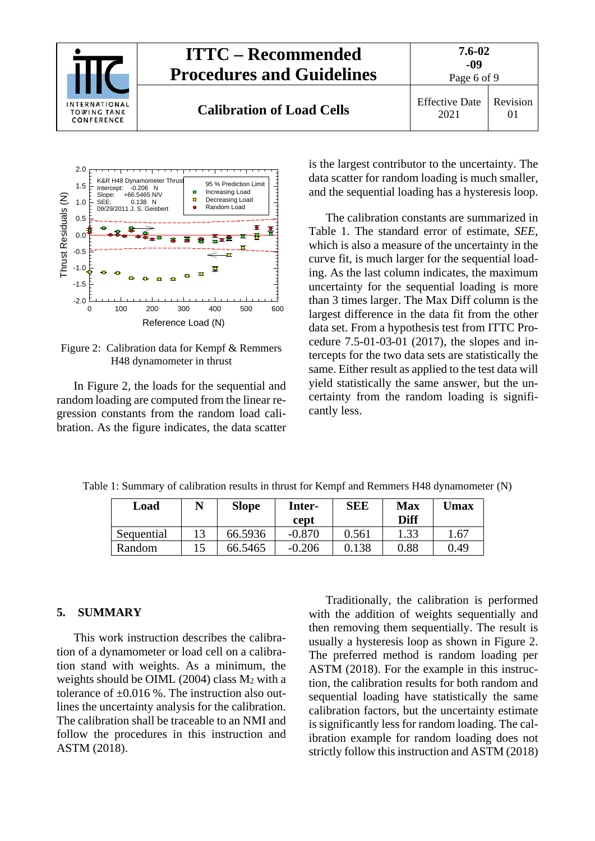



<span id="page-5-1"></span>Figure 2: Calibration data for Kempf & Remmers H48 dynamometer in thrust

In Figure 2, the loads for the sequential and random loading are computed from the linear regression constants from the random load calibration. As the figure indicates, the data scatter is the largest contributor to the uncertainty. The data scatter for random loading is much smaller, and the sequential loading has a hysteresis loop.

The calibration constants are summarized in Table 1. The standard error of estimate, *SEE*, which is also a measure of the uncertainty in the curve fit, is much larger for the sequential loading. As the last column indicates, the maximum uncertainty for the sequential loading is more than 3 times larger. The Max Diff column is the largest difference in the data fit from the other data set. From a hypothesis test from ITTC Procedure 7.5-01-03-01 (2017), the slopes and intercepts for the two data sets are statistically the same. Either result as applied to the test data will yield statistically the same answer, but the uncertainty from the random loading is significantly less.

| Load       | N | <b>Slope</b> | Inter-<br>cept | <b>SEE</b> | <b>Max</b><br>Diff | <b>Umax</b> |
|------------|---|--------------|----------------|------------|--------------------|-------------|
| Sequential |   | 66.5936      | $-0.870$       | 0.561      | 1.33               | 1.67        |
| Random     |   | 66.5465      | $-0.206$       | 0.138      | 0.88               | 0.49        |

Table 1: Summary of calibration results in thrust for Kempf and Remmers H48 dynamometer (N)

#### <span id="page-5-0"></span>**5. SUMMARY**

This work instruction describes the calibration of a dynamometer or load cell on a calibration stand with weights. As a minimum, the weights should be OIML (2004) class M2 with a tolerance of  $\pm 0.016$  %. The instruction also outlines the uncertainty analysis for the calibration. The calibration shall be traceable to an NMI and follow the procedures in this instruction and ASTM (2018).

Traditionally, the calibration is performed with the addition of weights sequentially and then removing them sequentially. The result is usually a hysteresis loop as shown in [Figure 2.](#page-5-1) The preferred method is random loading per ASTM (2018). For the example in this instruction, the calibration results for both random and sequential loading have statistically the same calibration factors, but the uncertainty estimate is significantly less for random loading. The calibration example for random loading does not strictly follow this instruction and ASTM (2018)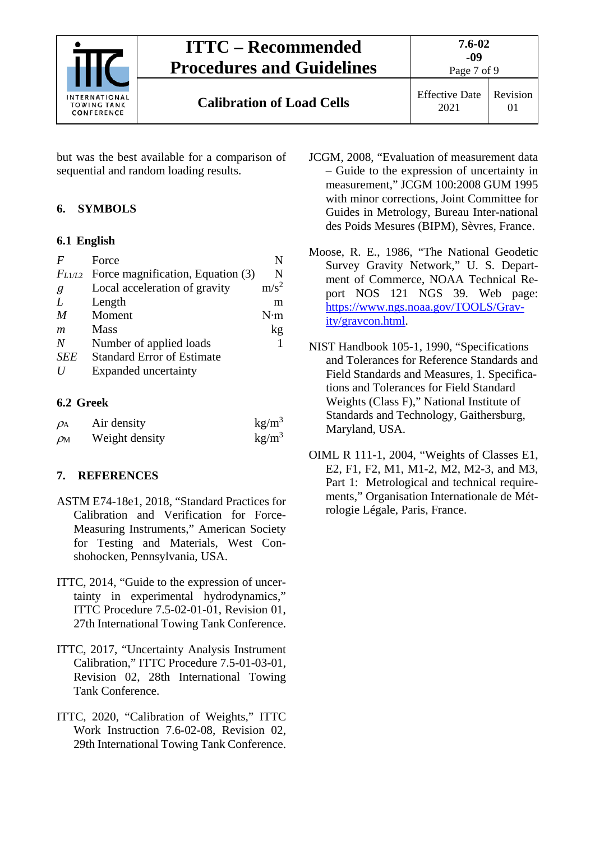

# **ITTC – Recommended Procedures and Guidelines**

**Calibration of Load Cells** Effective Date

2021 Revision 01

Page 7 of 9

but was the best available for a comparison of sequential and random loading results.

## <span id="page-6-1"></span><span id="page-6-0"></span>**6. SYMBOLS**

## **6.1 English**

| $\bm{F}$         | Force                                         | N                |
|------------------|-----------------------------------------------|------------------|
|                  | $F_{L1/L2}$ Force magnification, Equation (3) | N                |
| g                | Local acceleration of gravity                 | m/s <sup>2</sup> |
| L                | Length                                        | m                |
| M                | Moment                                        | $N \cdot m$      |
| $\boldsymbol{m}$ | <b>Mass</b>                                   | kg               |
| N                | Number of applied loads                       |                  |
| <b>SEE</b>       | <b>Standard Error of Estimate</b>             |                  |
|                  | <b>Expanded</b> uncertainty                   |                  |

### <span id="page-6-2"></span>**6.2 Greek**

| $\rho_A$       | Air density    | kg/m <sup>3</sup> |
|----------------|----------------|-------------------|
| $\rho_{\rm M}$ | Weight density | kg/m <sup>3</sup> |

## <span id="page-6-3"></span>**7. REFERENCES**

- ASTM E74-18e1, 2018, "Standard Practices for Calibration and Verification for Force-Measuring Instruments," American Society for Testing and Materials, West Conshohocken, Pennsylvania, USA.
- ITTC, 2014, "Guide to the expression of uncertainty in experimental hydrodynamics," ITTC Procedure 7.5-02-01-01, Revision 01, 27th International Towing Tank Conference.
- ITTC, 2017, "Uncertainty Analysis Instrument Calibration," ITTC Procedure 7.5-01-03-01, Revision 02, 28th International Towing Tank Conference.
- ITTC, 2020, "Calibration of Weights," ITTC Work Instruction 7.6-02-08, Revision 02, 29th International Towing Tank Conference.
- JCGM, 2008, "Evaluation of measurement data – Guide to the expression of uncertainty in measurement," JCGM 100:2008 GUM 1995 with minor corrections, Joint Committee for Guides in Metrology, Bureau Inter-national des Poids Mesures (BIPM), Sèvres, France.
- Moose, R. E., 1986, "The National Geodetic Survey Gravity Network," U. S. Department of Commerce, NOAA Technical Report NOS 121 NGS 39. Web page: [https://www.ngs.noaa.gov/TOOLS/Grav](https://www.ngs.noaa.gov/TOOLS/Gravity/gravcon.html)[ity/gravcon.html.](https://www.ngs.noaa.gov/TOOLS/Gravity/gravcon.html)
- NIST Handbook 105-1, 1990, "Specifications and Tolerances for Reference Standards and Field Standards and Measures, 1. Specifications and Tolerances for Field Standard Weights (Class F)," National Institute of Standards and Technology, Gaithersburg, Maryland, USA.
- OIML R 111-1, 2004, "Weights of Classes E1, E2, F1, F2, M1, M1-2, M2, M2-3, and M3, Part 1: Metrological and technical requirements," Organisation Internationale de Métrologie Légale, Paris, France.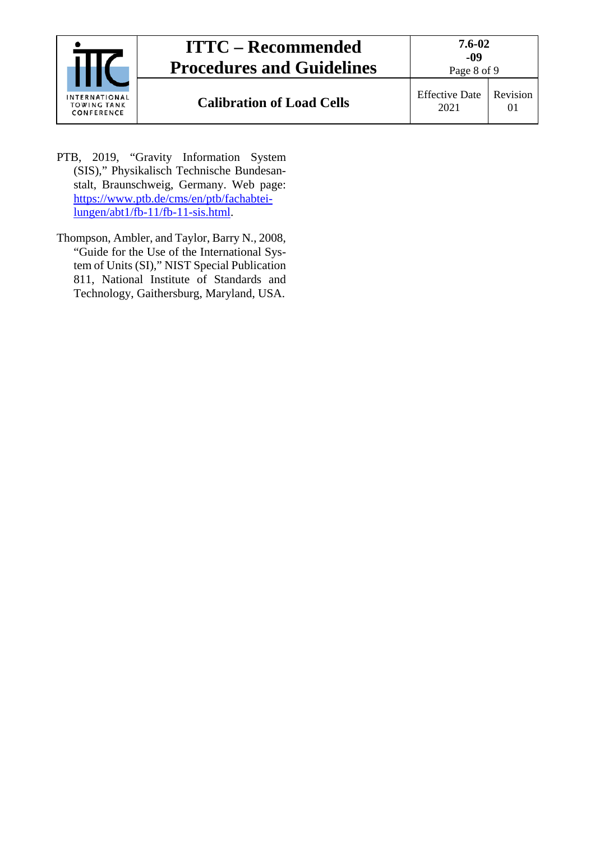| INTERNATIONAL<br><b>TOWING TANK</b><br>CONFERENCE | <b>ITTC – Recommended</b><br><b>Procedures and Guidelines</b> | 7.6-02<br>-09<br>Page 8 of 9  |          |
|---------------------------------------------------|---------------------------------------------------------------|-------------------------------|----------|
|                                                   | <b>Calibration of Load Cells</b>                              | <b>Effective Date</b><br>2021 | Revision |

- PTB, 2019, "Gravity Information System (SIS)," Physikalisch Technische Bundesanstalt, Braunschweig, Germany. Web page: [https://www.ptb.de/cms/en/ptb/fachabtei](https://www.ptb.de/cms/en/ptb/fachabteilungen/abt1/fb-11/fb-11-sis.html)[lungen/abt1/fb-11/fb-11-sis.html.](https://www.ptb.de/cms/en/ptb/fachabteilungen/abt1/fb-11/fb-11-sis.html)
- Thompson, Ambler, and Taylor, Barry N., 2008, "Guide for the Use of the International System of Units (SI)," NIST Special Publication 811, National Institute of Standards and Technology, Gaithersburg, Maryland, USA.